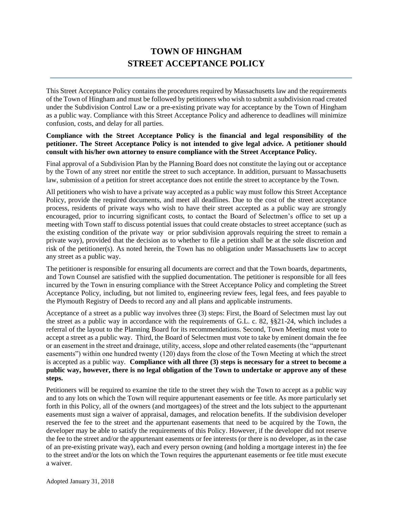# **TOWN OF HINGHAM STREET ACCEPTANCE POLICY**

This Street Acceptance Policy contains the procedures required by Massachusetts law and the requirements of the Town of Hingham and must be followed by petitioners who wish to submit a subdivision road created under the Subdivision Control Law or a pre-existing private way for acceptance by the Town of Hingham as a public way. Compliance with this Street Acceptance Policy and adherence to deadlines will minimize confusion, costs, and delay for all parties.

#### **Compliance with the Street Acceptance Policy is the financial and legal responsibility of the petitioner. The Street Acceptance Policy is not intended to give legal advice. A petitioner should consult with his/her own attorney to ensure compliance with the Street Acceptance Policy.**

Final approval of a Subdivision Plan by the Planning Board does not constitute the laying out or acceptance by the Town of any street nor entitle the street to such acceptance. In addition, pursuant to Massachusetts law, submission of a petition for street acceptance does not entitle the street to acceptance by the Town.

All petitioners who wish to have a private way accepted as a public way must follow this Street Acceptance Policy, provide the required documents, and meet all deadlines. Due to the cost of the street acceptance process, residents of private ways who wish to have their street accepted as a public way are strongly encouraged, prior to incurring significant costs, to contact the Board of Selectmen's office to set up a meeting with Town staff to discuss potential issues that could create obstacles to street acceptance (such as the existing condition of the private way or prior subdivision approvals requiring the street to remain a private way), provided that the decision as to whether to file a petition shall be at the sole discretion and risk of the petitioner(s). As noted herein, the Town has no obligation under Massachusetts law to accept any street as a public way.

The petitioner is responsible for ensuring all documents are correct and that the Town boards, departments, and Town Counsel are satisfied with the supplied documentation. The petitioner is responsible for all fees incurred by the Town in ensuring compliance with the Street Acceptance Policy and completing the Street Acceptance Policy, including, but not limited to, engineering review fees, legal fees, and fees payable to the Plymouth Registry of Deeds to record any and all plans and applicable instruments.

Acceptance of a street as a public way involves three (3) steps: First, the Board of Selectmen must lay out the street as a public way in accordance with the requirements of G.L. c. 82, §§21-24, which includes a referral of the layout to the Planning Board for its recommendations. Second, Town Meeting must vote to accept a street as a public way. Third, the Board of Selectmen must vote to take by eminent domain the fee or an easement in the street and drainage, utility, access, slope and other related easements (the "appurtenant easements") within one hundred twenty (120) days from the close of the Town Meeting at which the street is accepted as a public way. **Compliance with all three (3) steps is necessary for a street to become a public way, however, there is no legal obligation of the Town to undertake or approve any of these steps.**

Petitioners will be required to examine the title to the street they wish the Town to accept as a public way and to any lots on which the Town will require appurtenant easements or fee title. As more particularly set forth in this Policy, all of the owners (and mortgagees) of the street and the lots subject to the appurtenant easements must sign a waiver of appraisal, damages, and relocation benefits. If the subdivision developer reserved the fee to the street and the appurtenant easements that need to be acquired by the Town, the developer may be able to satisfy the requirements of this Policy. However, if the developer did not reserve the fee to the street and/or the appurtenant easements or fee interests (or there is no developer, as in the case of an pre-existing private way), each and every person owning (and holding a mortgage interest in) the fee to the street and/or the lots on which the Town requires the appurtenant easements or fee title must execute a waiver.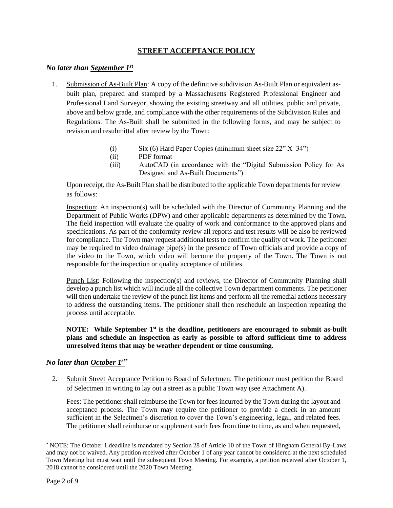# **STREET ACCEPTANCE POLICY**

# *No later than September 1st*

- 1. Submission of As-Built Plan: A copy of the definitive subdivision As-Built Plan or equivalent asbuilt plan, prepared and stamped by a Massachusetts Registered Professional Engineer and Professional Land Surveyor, showing the existing streetway and all utilities, public and private, above and below grade, and compliance with the other requirements of the Subdivision Rules and Regulations. The As-Built shall be submitted in the following forms, and may be subject to revision and resubmittal after review by the Town:
	- (i) Six (6) Hard Paper Copies (minimum sheet size 22" X 34")
	- (ii) PDF format
	- (iii) AutoCAD (in accordance with the "Digital Submission Policy for As Designed and As-Built Documents")

Upon receipt, the As-Built Plan shall be distributed to the applicable Town departments for review as follows:

Inspection: An inspection(s) will be scheduled with the Director of Community Planning and the Department of Public Works (DPW) and other applicable departments as determined by the Town. The field inspection will evaluate the quality of work and conformance to the approved plans and specifications. As part of the conformity review all reports and test results will be also be reviewed for compliance. The Town may request additional tests to confirm the quality of work. The petitioner may be required to video drainage pipe(s) in the presence of Town officials and provide a copy of the video to the Town, which video will become the property of the Town. The Town is not responsible for the inspection or quality acceptance of utilities.

Punch List: Following the inspection(s) and reviews, the Director of Community Planning shall develop a punch list which will include all the collective Town department comments. The petitioner will then undertake the review of the punch list items and perform all the remedial actions necessary to address the outstanding items. The petitioner shall then reschedule an inspection repeating the process until acceptable.

#### **NOTE: While September 1st is the deadline, petitioners are encouraged to submit as-built plans and schedule an inspection as early as possible to afford sufficient time to address unresolved items that may be weather dependent or time consuming.**

#### *No later than October 1st\**

2. Submit Street Acceptance Petition to Board of Selectmen. The petitioner must petition the Board of Selectmen in writing to lay out a street as a public Town way (see Attachment A).

Fees: The petitioner shall reimburse the Town for fees incurred by the Town during the layout and acceptance process. The Town may require the petitioner to provide a check in an amount sufficient in the Selectmen's discretion to cover the Town's engineering, legal, and related fees. The petitioner shall reimburse or supplement such fees from time to time, as and when requested,

l

*<sup>\*</sup>* NOTE: The October 1 deadline is mandated by Section 28 of Article 10 of the Town of Hingham General By-Laws and may not be waived. Any petition received after October 1 of any year cannot be considered at the next scheduled Town Meeting but must wait until the subsequent Town Meeting. For example, a petition received after October 1, 2018 cannot be considered until the 2020 Town Meeting.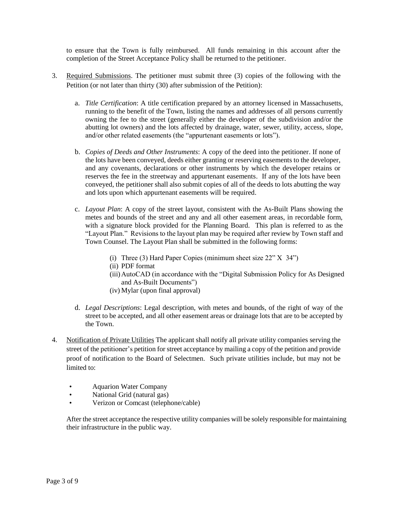to ensure that the Town is fully reimbursed. All funds remaining in this account after the completion of the Street Acceptance Policy shall be returned to the petitioner.

- 3. Required Submissions. The petitioner must submit three (3) copies of the following with the Petition (or not later than thirty (30) after submission of the Petition):
	- a. *Title Certification*: A title certification prepared by an attorney licensed in Massachusetts, running to the benefit of the Town, listing the names and addresses of all persons currently owning the fee to the street (generally either the developer of the subdivision and/or the abutting lot owners) and the lots affected by drainage, water, sewer, utility, access, slope, and/or other related easements (the "appurtenant easements or lots").
	- b. *Copies of Deeds and Other Instruments*: A copy of the deed into the petitioner. If none of the lots have been conveyed, deeds either granting or reserving easements to the developer, and any covenants, declarations or other instruments by which the developer retains or reserves the fee in the streetway and appurtenant easements. If any of the lots have been conveyed, the petitioner shall also submit copies of all of the deeds to lots abutting the way and lots upon which appurtenant easements will be required.
	- c. *Layout Plan*: A copy of the street layout, consistent with the As-Built Plans showing the metes and bounds of the street and any and all other easement areas, in recordable form, with a signature block provided for the Planning Board. This plan is referred to as the "Layout Plan." Revisions to the layout plan may be required after review by Town staff and Town Counsel. The Layout Plan shall be submitted in the following forms:
		- (i) Three (3) Hard Paper Copies (minimum sheet size 22" X 34")
		- (ii) PDF format
		- (iii)AutoCAD (in accordance with the "Digital Submission Policy for As Designed and As-Built Documents")
		- (iv) Mylar (upon final approval)
	- d. *Legal Descriptions*: Legal description, with metes and bounds, of the right of way of the street to be accepted, and all other easement areas or drainage lots that are to be accepted by the Town.
- 4. Notification of Private Utilities The applicant shall notify all private utility companies serving the street of the petitioner's petition for street acceptance by mailing a copy of the petition and provide proof of notification to the Board of Selectmen. Such private utilities include, but may not be limited to:
	- Aquarion Water Company
	- National Grid (natural gas)
	- Verizon or Comcast (telephone/cable)

After the street acceptance the respective utility companies will be solely responsible for maintaining their infrastructure in the public way.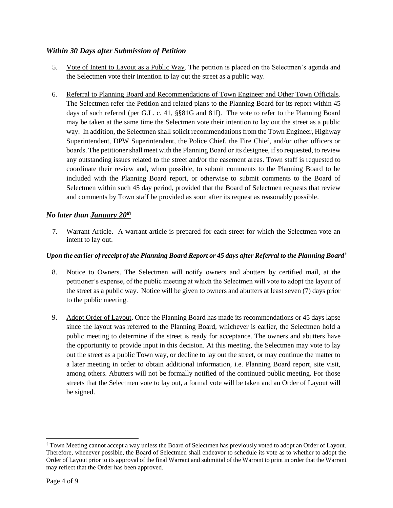# *Within 30 Days after Submission of Petition*

- 5. Vote of Intent to Layout as a Public Way. The petition is placed on the Selectmen's agenda and the Selectmen vote their intention to lay out the street as a public way.
- 6. Referral to Planning Board and Recommendations of Town Engineer and Other Town Officials. The Selectmen refer the Petition and related plans to the Planning Board for its report within 45 days of such referral (per G.L. c. 41, §§81G and 81I). The vote to refer to the Planning Board may be taken at the same time the Selectmen vote their intention to lay out the street as a public way. In addition, the Selectmen shall solicit recommendations from the Town Engineer, Highway Superintendent, DPW Superintendent, the Police Chief, the Fire Chief, and/or other officers or boards. The petitioner shall meet with the Planning Board or its designee, if so requested, to review any outstanding issues related to the street and/or the easement areas. Town staff is requested to coordinate their review and, when possible, to submit comments to the Planning Board to be included with the Planning Board report, or otherwise to submit comments to the Board of Selectmen within such 45 day period, provided that the Board of Selectmen requests that review and comments by Town staff be provided as soon after its request as reasonably possible.

# *No later than January 20th*

7. Warrant Article. A warrant article is prepared for each street for which the Selectmen vote an intent to lay out.

## *Upon the earlier of receipt of the Planning Board Report or 45 days after Referral to the Planning Board†*

- 8. Notice to Owners. The Selectmen will notify owners and abutters by certified mail, at the petitioner's expense, of the public meeting at which the Selectmen will vote to adopt the layout of the street as a public way. Notice will be given to owners and abutters at least seven (7) days prior to the public meeting.
- 9. Adopt Order of Layout. Once the Planning Board has made its recommendations or 45 days lapse since the layout was referred to the Planning Board, whichever is earlier, the Selectmen hold a public meeting to determine if the street is ready for acceptance. The owners and abutters have the opportunity to provide input in this decision. At this meeting, the Selectmen may vote to lay out the street as a public Town way, or decline to lay out the street, or may continue the matter to a later meeting in order to obtain additional information, i.e. Planning Board report, site visit, among others. Abutters will not be formally notified of the continued public meeting. For those streets that the Selectmen vote to lay out, a formal vote will be taken and an Order of Layout will be signed.

l

<sup>†</sup> Town Meeting cannot accept a way unless the Board of Selectmen has previously voted to adopt an Order of Layout. Therefore, whenever possible, the Board of Selectmen shall endeavor to schedule its vote as to whether to adopt the Order of Layout prior to its approval of the final Warrant and submittal of the Warrant to print in order that the Warrant may reflect that the Order has been approved.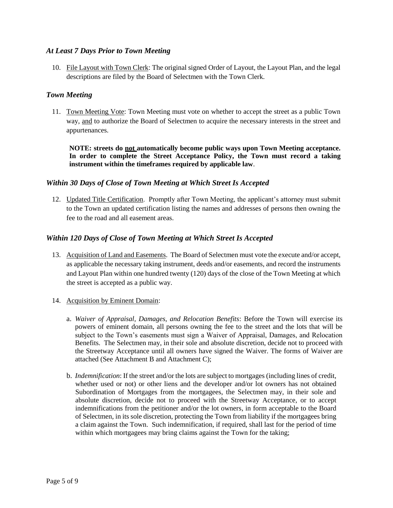#### *At Least 7 Days Prior to Town Meeting*

10. File Layout with Town Clerk: The original signed Order of Layout, the Layout Plan, and the legal descriptions are filed by the Board of Selectmen with the Town Clerk.

#### *Town Meeting*

11. Town Meeting Vote: Town Meeting must vote on whether to accept the street as a public Town way, and to authorize the Board of Selectmen to acquire the necessary interests in the street and appurtenances.

**NOTE: streets do not automatically become public ways upon Town Meeting acceptance. In order to complete the Street Acceptance Policy, the Town must record a taking instrument within the timeframes required by applicable law**.

#### *Within 30 Days of Close of Town Meeting at Which Street Is Accepted*

12. Updated Title Certification. Promptly after Town Meeting, the applicant's attorney must submit to the Town an updated certification listing the names and addresses of persons then owning the fee to the road and all easement areas.

#### *Within 120 Days of Close of Town Meeting at Which Street Is Accepted*

- 13. Acquisition of Land and Easements. The Board of Selectmen must vote the execute and/or accept, as applicable the necessary taking instrument, deeds and/or easements, and record the instruments and Layout Plan within one hundred twenty (120) days of the close of the Town Meeting at which the street is accepted as a public way.
- 14. Acquisition by Eminent Domain:
	- a. *Waiver of Appraisal, Damages, and Relocation Benefits*: Before the Town will exercise its powers of eminent domain, all persons owning the fee to the street and the lots that will be subject to the Town's easements must sign a Waiver of Appraisal, Damages, and Relocation Benefits. The Selectmen may, in their sole and absolute discretion, decide not to proceed with the Streetway Acceptance until all owners have signed the Waiver. The forms of Waiver are attached (See Attachment B and Attachment C);
	- b. *Indemnification*: If the street and/or the lots are subject to mortgages (including lines of credit, whether used or not) or other liens and the developer and/or lot owners has not obtained Subordination of Mortgages from the mortgagees, the Selectmen may, in their sole and absolute discretion, decide not to proceed with the Streetway Acceptance, or to accept indemnifications from the petitioner and/or the lot owners, in form acceptable to the Board of Selectmen, in its sole discretion, protecting the Town from liability if the mortgagees bring a claim against the Town. Such indemnification, if required, shall last for the period of time within which mortgagees may bring claims against the Town for the taking;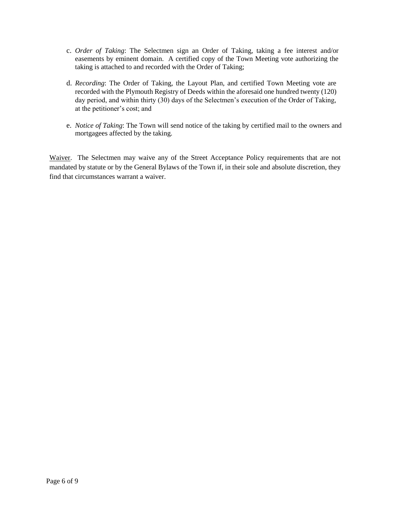- c. *Order of Taking*: The Selectmen sign an Order of Taking, taking a fee interest and/or easements by eminent domain. A certified copy of the Town Meeting vote authorizing the taking is attached to and recorded with the Order of Taking;
- d. *Recording*: The Order of Taking, the Layout Plan, and certified Town Meeting vote are recorded with the Plymouth Registry of Deeds within the aforesaid one hundred twenty (120) day period, and within thirty (30) days of the Selectmen's execution of the Order of Taking, at the petitioner's cost; and
- e. *Notice of Taking*: The Town will send notice of the taking by certified mail to the owners and mortgagees affected by the taking.

Waiver. The Selectmen may waive any of the Street Acceptance Policy requirements that are not mandated by statute or by the General Bylaws of the Town if, in their sole and absolute discretion, they find that circumstances warrant a waiver.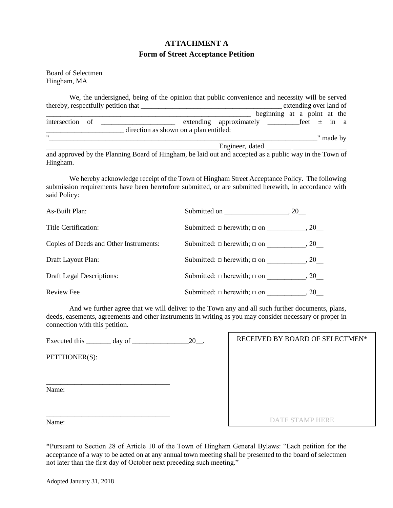# **ATTACHMENT A Form of Street Acceptance Petition**

Board of Selectmen Hingham, MA

| We, the undersigned, being of the opinion that public convenience and necessity will be served        |                                        |                             |  |                        |           |  |
|-------------------------------------------------------------------------------------------------------|----------------------------------------|-----------------------------|--|------------------------|-----------|--|
| thereby, respectfully petition that                                                                   |                                        |                             |  | extending over land of |           |  |
|                                                                                                       |                                        | beginning at a point at the |  |                        |           |  |
| intersection of                                                                                       |                                        |                             |  |                        |           |  |
|                                                                                                       | direction as shown on a plan entitled: |                             |  |                        |           |  |
| $^{\prime\prime}$                                                                                     |                                        |                             |  |                        | w made by |  |
|                                                                                                       |                                        | Engineer, dated             |  |                        |           |  |
| and approved by the Planning Roard of Hingham be laid out and accepted as a public way in the Town of |                                        |                             |  |                        |           |  |

and approved by the Planning Board of Hingham, be laid out and accepted as a public way in the Town of Hingham.

We hereby acknowledge receipt of the Town of Hingham Street Acceptance Policy. The following submission requirements have been heretofore submitted, or are submitted herewith, in accordance with said Policy:

| As-Built Plan:                         | Submitted on                          | $.20$ <sub>—<math>-</math></sub> |
|----------------------------------------|---------------------------------------|----------------------------------|
| Title Certification:                   | Submitted: $\Box$ herewith; $\Box$ on | .20                              |
| Copies of Deeds and Other Instruments: | Submitted: $\Box$ herewith; $\Box$ on | .20                              |
| Draft Layout Plan:                     | Submitted: $\Box$ herewith; $\Box$ on | .20                              |
| <b>Draft Legal Descriptions:</b>       | Submitted: $\Box$ herewith; $\Box$ on | .20                              |
| Review Fee                             | Submitted: $\Box$ herewith; $\Box$ on | , 20                             |

And we further agree that we will deliver to the Town any and all such further documents, plans, deeds, easements, agreements and other instruments in writing as you may consider necessary or proper in connection with this petition.

 $\Gamma$ 

| Executed this $\_\_\_\_$ day of $\_\_\_\_\_\_\_$ 20. | RECEIVED BY BOARD OF SELECTMEN* |
|------------------------------------------------------|---------------------------------|
| PETITIONER(S):                                       |                                 |
| Name:                                                |                                 |
| Name:                                                | <b>DATE STAMP HERE</b>          |

\*Pursuant to Section 28 of Article 10 of the Town of Hingham General Bylaws: "Each petition for the acceptance of a way to be acted on at any annual town meeting shall be presented to the board of selectmen not later than the first day of October next preceding such meeting."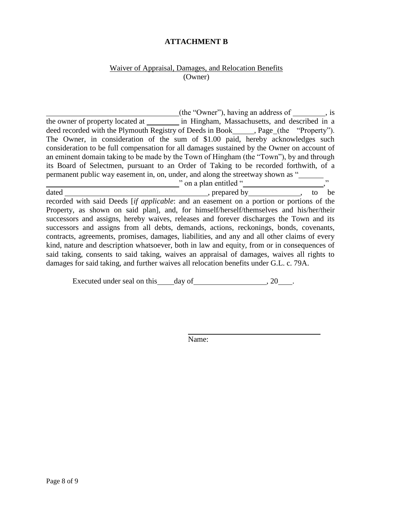# **ATTACHMENT B**

#### Waiver of Appraisal, Damages, and Relocation Benefits (Owner)

(the "Owner"), having an address of , is the owner of property located at in Hingham, Massachusetts, and described in a deed recorded with the Plymouth Registry of Deeds in Book \_\_\_\_\_\_, Page (the "Property"). The Owner, in consideration of the sum of \$1.00 paid, hereby acknowledges such consideration to be full compensation for all damages sustained by the Owner on account of an eminent domain taking to be made by the Town of Hingham (the "Town"), by and through its Board of Selectmen, pursuant to an Order of Taking to be recorded forthwith, of a permanent public way easement in, on, under, and along the streetway shown as " " on a plan entitled " dated , prepared by , to be recorded with said Deeds [*if applicable*: and an easement on a portion or portions of the Property, as shown on said plan], and, for himself/herself/themselves and his/her/their successors and assigns, hereby waives, releases and forever discharges the Town and its successors and assigns from all debts, demands, actions, reckonings, bonds, covenants, contracts, agreements, promises, damages, liabilities, and any and all other claims of every kind, nature and description whatsoever, both in law and equity, from or in consequences of said taking, consents to said taking, waives an appraisal of damages, waives all rights to damages for said taking, and further waives all relocation benefits under G.L. c. 79A.

Executed under seal on this day of , 20 .

Name: